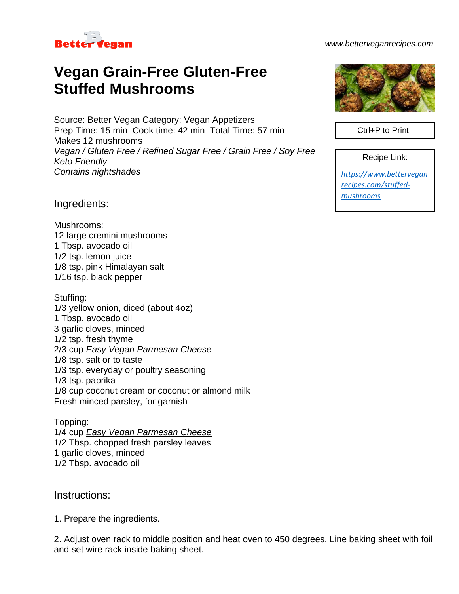

#### *www.betterveganrecipes.com*

# **Vegan Grain-Free Gluten-Free Stuffed Mushrooms**

Source: Better Vegan Category: Vegan Appetizers Prep Time: 15 min Cook time: 42 min Total Time: 57 min Makes 12 mushrooms *Vegan / Gluten Free / Refined Sugar Free / Grain Free / Soy Free Keto Friendly Contains nightshades*

Ingredients:

Mushrooms: 12 large cremini mushrooms 1 Tbsp. avocado oil 1/2 tsp. lemon juice 1/8 tsp. pink Himalayan salt 1/16 tsp. black pepper

Stuffing: 1/3 yellow onion, diced (about 4oz) 1 Tbsp. avocado oil 3 garlic cloves, minced 1/2 tsp. fresh thyme 2/3 cup *Easy Vegan Parmesan Cheese* 1/8 tsp. salt or to taste 1/3 tsp. everyday or poultry seasoning 1/3 tsp. paprika 1/8 cup coconut cream or coconut or almond milk Fresh minced parsley, for garnish

Topping: 1/4 cup *Easy Vegan Parmesan Cheese* 1/2 Tbsp. chopped fresh parsley leaves 1 garlic cloves, minced 1/2 Tbsp. avocado oil

### Instructions:

1. Prepare the ingredients.

2. Adjust oven rack to middle position and heat oven to 450 degrees. Line baking sheet with foil and set wire rack inside baking sheet.



Ctrl+P to Print

Recipe Link:

*[https://www.bettervegan](https://www.betterveganrecipes.com/stuffed-mushrooms) [recipes.com/stuffed](https://www.betterveganrecipes.com/stuffed-mushrooms)[mushrooms](https://www.betterveganrecipes.com/stuffed-mushrooms)*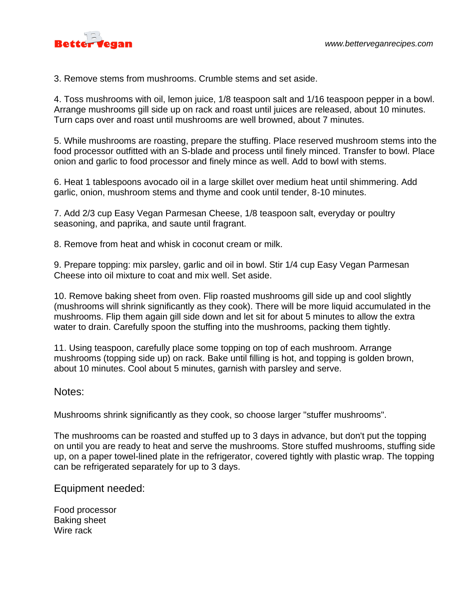

3. Remove stems from mushrooms. Crumble stems and set aside.

4. Toss mushrooms with oil, lemon juice, 1/8 teaspoon salt and 1/16 teaspoon pepper in a bowl. Arrange mushrooms gill side up on rack and roast until juices are released, about 10 minutes. Turn caps over and roast until mushrooms are well browned, about 7 minutes.

5. While mushrooms are roasting, prepare the stuffing. Place reserved mushroom stems into the food processor outfitted with an S-blade and process until finely minced. Transfer to bowl. Place onion and garlic to food processor and finely mince as well. Add to bowl with stems.

6. Heat 1 tablespoons avocado oil in a large skillet over medium heat until shimmering. Add garlic, onion, mushroom stems and thyme and cook until tender, 8-10 minutes.

7. Add 2/3 cup Easy Vegan Parmesan Cheese, 1/8 teaspoon salt, everyday or poultry seasoning, and paprika, and saute until fragrant.

8. Remove from heat and whisk in coconut cream or milk.

9. Prepare topping: mix parsley, garlic and oil in bowl. Stir 1/4 cup Easy Vegan Parmesan Cheese into oil mixture to coat and mix well. Set aside.

10. Remove baking sheet from oven. Flip roasted mushrooms gill side up and cool slightly (mushrooms will shrink significantly as they cook). There will be more liquid accumulated in the mushrooms. Flip them again gill side down and let sit for about 5 minutes to allow the extra water to drain. Carefully spoon the stuffing into the mushrooms, packing them tightly.

11. Using teaspoon, carefully place some topping on top of each mushroom. Arrange mushrooms (topping side up) on rack. Bake until filling is hot, and topping is golden brown, about 10 minutes. Cool about 5 minutes, garnish with parsley and serve.

#### Notes:

Mushrooms shrink significantly as they cook, so choose larger "stuffer mushrooms".

The mushrooms can be roasted and stuffed up to 3 days in advance, but don't put the topping on until you are ready to heat and serve the mushrooms. Store stuffed mushrooms, stuffing side up, on a paper towel-lined plate in the refrigerator, covered tightly with plastic wrap. The topping can be refrigerated separately for up to 3 days.

Equipment needed:

Food processor Baking sheet Wire rack